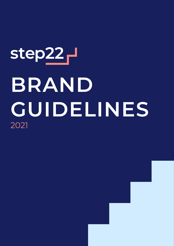# step<sub>22</sub> **BRAND GUIDELINES** 2021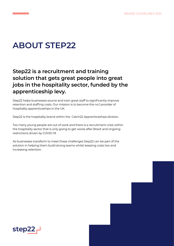## **ABOUT STEP22**

## **Step22 is a recruitment and training solution that gets great people into great jobs in the hospitality sector, funded by the apprenticeship levy.**

Step22 helps businesses source and train great staff to significantly improve retention and staffing costs. Our mission is to become the no.1 provider of hospitality apprenticeships in the UK.

Step22 is the hospitality brand within the Catch22 Apprenticeships division.

Too many young people are out of work and there is a recruitment crisis within the hospitality sector that is only going to get worse after Brexit and ongoing restrictions driven by COVID-19.

As businesses transform to meet these challenges Step22 can be part of the solution in helping them build strong teams whilst keeping costs low and increasing retention.

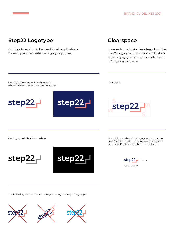#### **Step22 Logotype**

Our logotype should be used for all applications. Never try and recreate the logotype yourself.

#### **Clearspace**

In order to maintain the intergrity of the Step22 logotype, it is important that no other logos, type or graphical elements infringe on it's space.



The following are unacceptable ways of using the Step 22 logotype

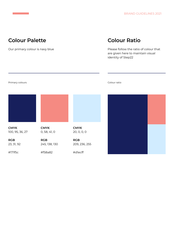## **Colour Palette**

Our primary colour is navy blue

## **Colour Ratio**

Please follow the ratio of colour that are given here to maintain visual identity of Step22

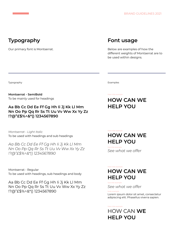## **Typography**

Our primary font is Montserrat.

#### **Font usage**

Below are examples of how the different weights of Montserrat are to be used within designs.

Typography Examples

**Montserrat - SemiBold** To be mainly used for headings

#### **Aa Bb Cc Dd Ee Ff Gg Hh Ii Jj Kk Ll Mm Nn Oo Pp Qq Rr Ss Tt Uu Vv Ww Xx Yy Zz !?@ӣ\$%^&\*() 1234567890**

*Montserrat - Light Italic* To be used with headings and sub headings

*Aa Bb Cc Dd Ee Ff Gg Hh Ii Jj Kk Ll Mm Nn Oo Pp Qq Rr Ss Tt Uu Vv Ww Xx Yy Zz !?@ӣ\$%^&\*() 1234567890*

Montserrat - Regular To be used with headings, sub headings and body

Aa Bb Cc Dd Ee Ff Gg Hh Ii Jj Kk Ll Mm Nn Oo Pp Qq Rr Ss Tt Uu Vv Ww Xx Yy Zz !?@"£\$%^&\*() 1234567890

Main title example

#### **HOW CAN WE HELP YOU**

#### **HOW CAN WE HELP YOU** Main title example

*See what we offer* Sub title examp

#### **HOW CAN WE HELP YOU** Main title example

*See what we offer* Sub title example

Lorem ipsum dolor sit amet, consectetur adipiscing elit. Phasellus viverra sapien. body example

HOW CAN **WE HELP YOU** Main title example